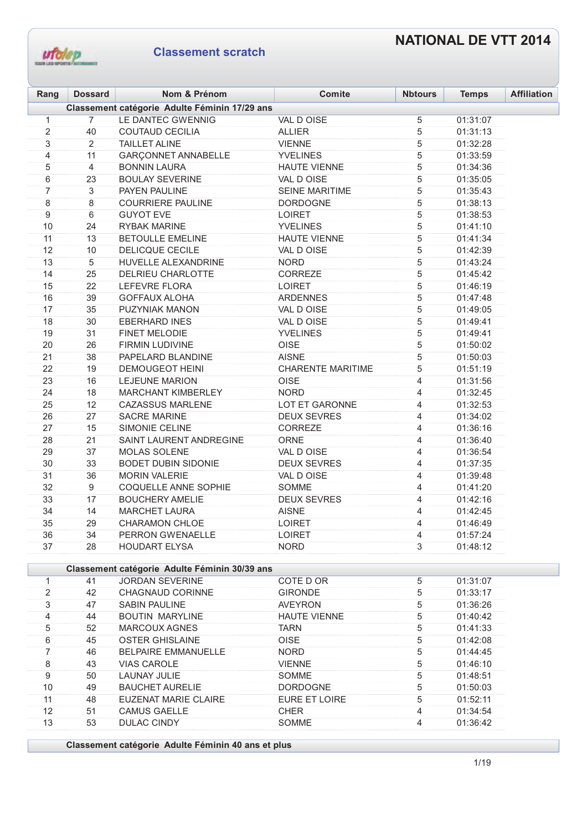

## **Classement scratch**

## **NATIONAL DE VTT 2014**

| Rang                                          | <b>Dossard</b> | Nom & Prénom                                  | <b>Comite</b>            | <b>Nbtours</b> | <b>Temps</b> | <b>Affiliation</b> |
|-----------------------------------------------|----------------|-----------------------------------------------|--------------------------|----------------|--------------|--------------------|
|                                               |                | Classement catégorie Adulte Féminin 17/29 ans |                          |                |              |                    |
| 1                                             | $\overline{7}$ | LE DANTEC GWENNIG                             | <b>VAL D OISE</b>        | $\overline{5}$ | 01:31:07     |                    |
| 2                                             | 40             | <b>COUTAUD CECILIA</b>                        | <b>ALLIER</b>            | $\overline{5}$ | 01:31:13     |                    |
| 3                                             | $\overline{2}$ | <b>TAILLET ALINE</b>                          | <b>VIENNE</b>            | 5              | 01:32:28     |                    |
| 4                                             | 11             | GARÇONNET ANNABELLE                           | <b>YVELINES</b>          | 5              | 01:33:59     |                    |
| 5                                             | $\overline{4}$ | <b>BONNIN LAURA</b>                           | <b>HAUTE VIENNE</b>      | 5              | 01:34:36     |                    |
| 6                                             | 23             | <b>BOULAY SEVERINE</b>                        | VAL D OISE               | 5              | 01:35:05     |                    |
| 7                                             | $\overline{3}$ | PAYEN PAULINE                                 | SEINE MARITIME           | 5              | 01:35:43     |                    |
| 8                                             | $\,8\,$        | <b>COURRIERE PAULINE</b>                      | <b>DORDOGNE</b>          | 5              | 01:38:13     |                    |
| 9                                             | $\sqrt{6}$     | <b>GUYOT EVE</b>                              | <b>LOIRET</b>            | 5              | 01:38:53     |                    |
| 10                                            | 24             | <b>RYBAK MARINE</b>                           | <b>YVELINES</b>          | 5              | 01:41:10     |                    |
| 11                                            | 13             | <b>BETOULLE EMELINE</b>                       | <b>HAUTE VIENNE</b>      | 5              | 01:41:34     |                    |
| 12                                            | 10             | <b>DELICQUE CECILE</b>                        | VAL D OISE               | 5              | 01:42:39     |                    |
| 13                                            | $\overline{5}$ | <b>HUVELLE ALEXANDRINE</b>                    | <b>NORD</b>              | 5              | 01:43:24     |                    |
| 14                                            | 25             | <b>DELRIEU CHARLOTTE</b>                      | CORREZE                  | 5              | 01:45:42     |                    |
| 15                                            | 22             | LEFEVRE FLORA                                 | <b>LOIRET</b>            | 5              | 01:46:19     |                    |
| 16                                            | 39             | <b>GOFFAUX ALOHA</b>                          | <b>ARDENNES</b>          | 5              | 01:47:48     |                    |
| 17                                            | 35             | <b>PUZYNIAK MANON</b>                         | VAL D OISE               | 5              | 01:49:05     |                    |
| 18                                            | 30             | <b>EBERHARD INES</b>                          | VAL D OISE               | 5              | 01:49:41     |                    |
| 19                                            | 31             | <b>FINET MELODIE</b>                          | <b>YVELINES</b>          | 5              | 01:49:41     |                    |
| 20                                            | 26             | FIRMIN LUDIVINE                               | <b>OISE</b>              | 5              | 01:50:02     |                    |
| 21                                            | 38             | PAPELARD BLANDINE                             | <b>AISNE</b>             | $\overline{5}$ | 01:50:03     |                    |
| 22                                            | 19             | <b>DEMOUGEOT HEINI</b>                        | <b>CHARENTE MARITIME</b> | 5              | 01:51:19     |                    |
| 23                                            | 16             | <b>LEJEUNE MARION</b>                         | <b>OISE</b>              | $\overline{4}$ | 01:31:56     |                    |
| 24                                            | 18             | <b>MARCHANT KIMBERLEY</b>                     | <b>NORD</b>              | $\overline{4}$ | 01:32:45     |                    |
| 25                                            | 12             | <b>CAZASSUS MARLENE</b>                       | <b>LOT ET GARONNE</b>    | $\overline{4}$ | 01:32:53     |                    |
| 26                                            | 27             | <b>SACRE MARINE</b>                           | <b>DEUX SEVRES</b>       | $\overline{4}$ | 01:34:02     |                    |
| 27                                            | 15             | SIMONIE CELINE                                | <b>CORREZE</b>           | $\overline{4}$ | 01:36:16     |                    |
| 28                                            | 21             | SAINT LAURENT ANDREGINE                       | <b>ORNE</b>              | $\overline{4}$ | 01:36:40     |                    |
| 29                                            | 37             | <b>MOLAS SOLENE</b>                           | VAL D OISE               | $\overline{4}$ | 01:36:54     |                    |
| 30                                            | 33             | <b>BODET DUBIN SIDONIE</b>                    | <b>DEUX SEVRES</b>       | $\overline{4}$ | 01:37:35     |                    |
| 31                                            | 36             | <b>MORIN VALERIE</b>                          | VAL D OISE               | $\overline{4}$ | 01:39:48     |                    |
| 32                                            | $9\,$          | COQUELLE ANNE SOPHIE                          | SOMME                    | 4              | 01:41:20     |                    |
| 33                                            | 17             | <b>BOUCHERY AMELIE</b>                        | <b>DEUX SEVRES</b>       | 4              | 01:42:16     |                    |
| 34                                            | 14             | <b>MARCHET LAURA</b>                          | <b>AISNE</b>             | 4              | 01:42:45     |                    |
| 35 <sup>7</sup>                               | 29             | CHARAMON CHLOE                                | LOIRET                   | 4              | 01:46:49     |                    |
| 36<br>37                                      | 34             | PERRON GWENAELLE                              | <b>LOIRET</b>            | 4<br>3         | 01:57:24     |                    |
|                                               | 28             | <b>HOUDART ELYSA</b>                          | <b>NORD</b>              |                | 01:48:12     |                    |
| Classement catégorie Adulte Féminin 30/39 ans |                |                                               |                          |                |              |                    |
| 1                                             | 41             | <b>JORDAN SEVERINE</b>                        | COTE D OR                | 5              | 01:31:07     |                    |
| 2                                             | 42             | CHAGNAUD CORINNE                              | <b>GIRONDE</b>           | 5              | 01:33:17     |                    |
| 3                                             | 47             | SABIN PAULINE                                 | <b>AVEYRON</b>           | 5              | 01:36:26     |                    |
| 4                                             | 44             | <b>BOUTIN MARYLINE</b>                        | <b>HAUTE VIENNE</b>      | 5              | 01:40:42     |                    |
| 5                                             | 52             | MARCOUX AGNES                                 | <b>TARN</b>              | 5              | 01:41:33     |                    |
| 6                                             | 45             | <b>OSTER GHISLAINE</b>                        | <b>OISE</b>              | 5              | 01:42:08     |                    |
| 7                                             | 46             | BELPAIRE EMMANUELLE                           | <b>NORD</b>              | 5              | 01:44:45     |                    |
| 8                                             | 43             | <b>VIAS CAROLE</b>                            | <b>VIENNE</b>            | 5              | 01:46:10     |                    |
| 9                                             | 50             | <b>LAUNAY JULIE</b>                           | SOMME                    | 5              | 01:48:51     |                    |
| 10                                            | 49             | <b>BAUCHET AURELIE</b>                        | <b>DORDOGNE</b>          | 5              | 01:50:03     |                    |
| 11                                            | 48             | EUZENAT MARIE CLAIRE                          | EURE ET LOIRE            | 5              | 01:52:11     |                    |
| 12                                            | 51             | <b>CAMUS GAELLE</b>                           | <b>CHER</b>              | 4              | 01:34:54     |                    |
| 13                                            | 53             | DULAC CINDY                                   | SOMME                    | 4              | 01:36:42     |                    |

**Classement catégorie Adulte Féminin 40 ans et plus**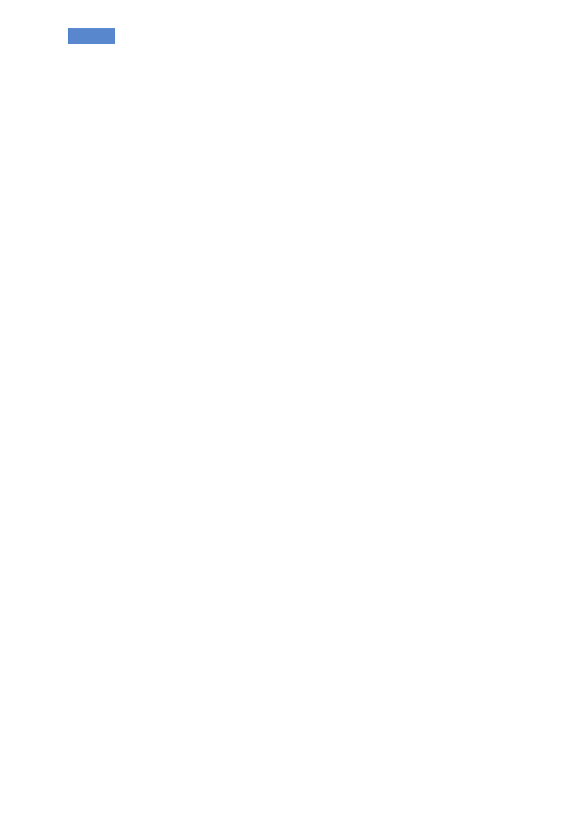